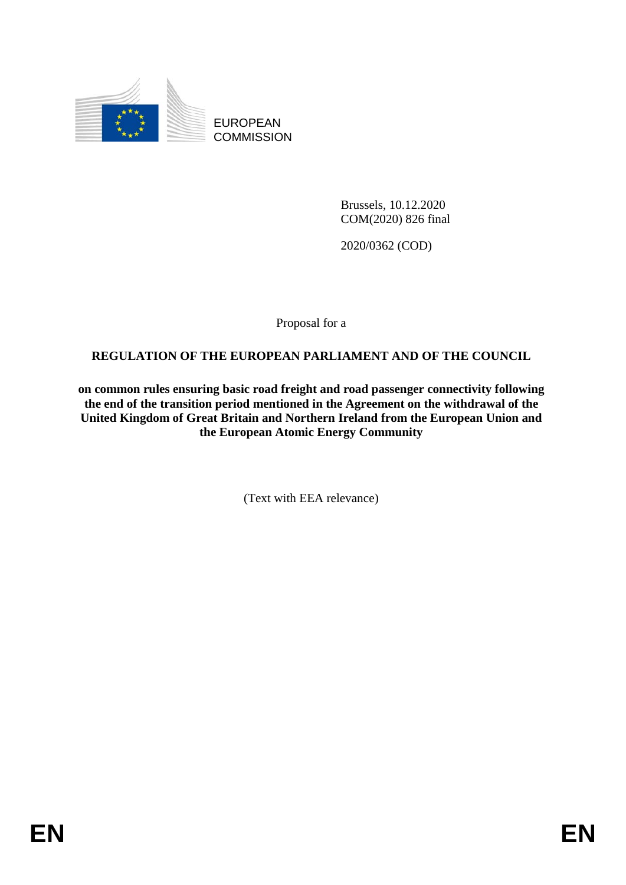

EUROPEAN **COMMISSION** 

> Brussels, 10.12.2020 COM(2020) 826 final

2020/0362 (COD)

Proposal for a

# **REGULATION OF THE EUROPEAN PARLIAMENT AND OF THE COUNCIL**

**on common rules ensuring basic road freight and road passenger connectivity following the end of the transition period mentioned in the Agreement on the withdrawal of the United Kingdom of Great Britain and Northern Ireland from the European Union and the European Atomic Energy Community**

(Text with EEA relevance)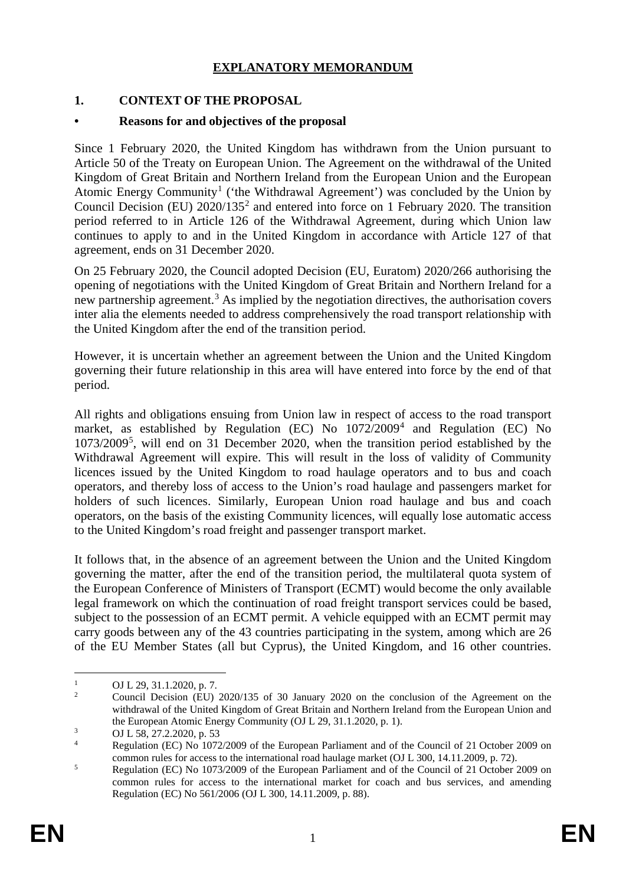## **EXPLANATORY MEMORANDUM**

## **1. CONTEXT OF THE PROPOSAL**

#### **• Reasons for and objectives of the proposal**

Since 1 February 2020, the United Kingdom has withdrawn from the Union pursuant to Article 50 of the Treaty on European Union. The Agreement on the withdrawal of the United Kingdom of Great Britain and Northern Ireland from the European Union and the European Atomic Energy Community<sup>[1](#page-1-0)</sup> ('the Withdrawal Agreement') was concluded by the Union by Council Decision (EU)  $2020/135^2$  $2020/135^2$  and entered into force on 1 February 2020. The transition period referred to in Article 126 of the Withdrawal Agreement, during which Union law continues to apply to and in the United Kingdom in accordance with Article 127 of that agreement, ends on 31 December 2020.

On 25 February 2020, the Council adopted Decision (EU, Euratom) 2020/266 authorising the opening of negotiations with the United Kingdom of Great Britain and Northern Ireland for a new partnership agreement.<sup>[3](#page-1-2)</sup> As implied by the negotiation directives, the authorisation covers inter alia the elements needed to address comprehensively the road transport relationship with the United Kingdom after the end of the transition period.

However, it is uncertain whether an agreement between the Union and the United Kingdom governing their future relationship in this area will have entered into force by the end of that period.

All rights and obligations ensuing from Union law in respect of access to the road transport market, as established by Regulation (EC) No  $1072/2009<sup>4</sup>$  $1072/2009<sup>4</sup>$  $1072/2009<sup>4</sup>$  and Regulation (EC) No 1073/2009[5](#page-1-4) , will end on 31 December 2020, when the transition period established by the Withdrawal Agreement will expire. This will result in the loss of validity of Community licences issued by the United Kingdom to road haulage operators and to bus and coach operators, and thereby loss of access to the Union's road haulage and passengers market for holders of such licences. Similarly, European Union road haulage and bus and coach operators, on the basis of the existing Community licences, will equally lose automatic access to the United Kingdom's road freight and passenger transport market.

It follows that, in the absence of an agreement between the Union and the United Kingdom governing the matter, after the end of the transition period, the multilateral quota system of the European Conference of Ministers of Transport (ECMT) would become the only available legal framework on which the continuation of road freight transport services could be based, subject to the possession of an ECMT permit. A vehicle equipped with an ECMT permit may carry goods between any of the 43 countries participating in the system, among which are 26 of the EU Member States (all but Cyprus), the United Kingdom, and 16 other countries.

<span id="page-1-0"></span> <sup>1</sup> OJ L 29, 31.1.2020, p. 7.

<span id="page-1-1"></span><sup>2</sup> Council Decision (EU) 2020/135 of 30 January 2020 on the conclusion of the Agreement on the withdrawal of the United Kingdom of Great Britain and Northern Ireland from the European Union and the European Atomic Energy Community (OJ L 29, 31.1.2020, p. 1).

 $\frac{3}{4}$  OJ L 58, 27.2.2020, p. 53

<span id="page-1-3"></span><span id="page-1-2"></span><sup>4</sup> Regulation (EC) No 1072/2009 of the European Parliament and of the Council of 21 October 2009 on common rules for access to the international road haulage market (OJ L 300, 14.11.2009, p. 72).

<span id="page-1-4"></span><sup>&</sup>lt;sup>5</sup> Regulation (EC) No 1073/2009 of the European Parliament and of the Council of 21 October 2009 on common rules for access to the international market for coach and bus services, and amending Regulation (EC) No 561/2006 (OJ L 300, 14.11.2009, p. 88).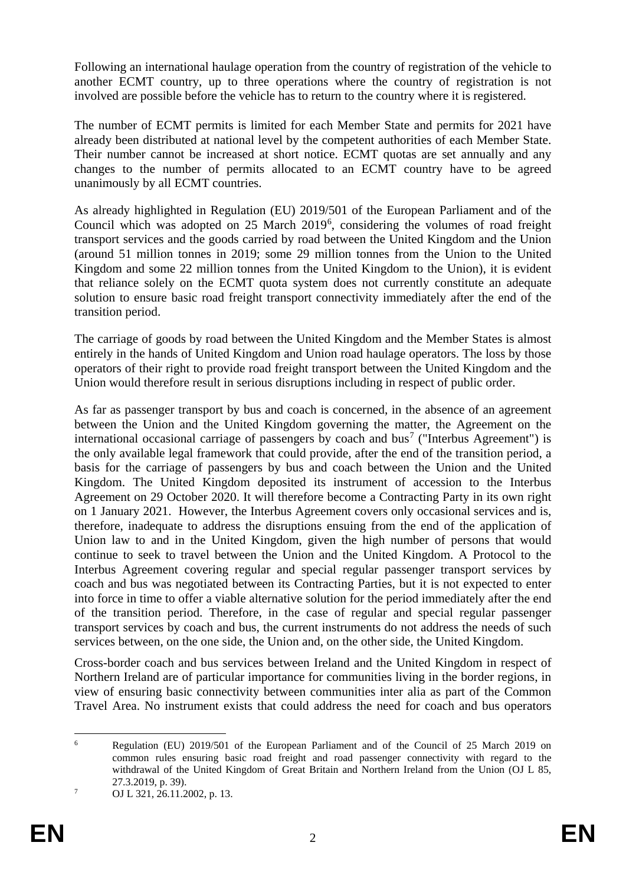Following an international haulage operation from the country of registration of the vehicle to another ECMT country, up to three operations where the country of registration is not involved are possible before the vehicle has to return to the country where it is registered.

The number of ECMT permits is limited for each Member State and permits for 2021 have already been distributed at national level by the competent authorities of each Member State. Their number cannot be increased at short notice. ECMT quotas are set annually and any changes to the number of permits allocated to an ECMT country have to be agreed unanimously by all ECMT countries.

As already highlighted in Regulation (EU) 2019/501 of the European Parliament and of the Council which was adopted on 25 March 2019[6](#page-2-0) , considering the volumes of road freight transport services and the goods carried by road between the United Kingdom and the Union (around 51 million tonnes in 2019; some 29 million tonnes from the Union to the United Kingdom and some 22 million tonnes from the United Kingdom to the Union), it is evident that reliance solely on the ECMT quota system does not currently constitute an adequate solution to ensure basic road freight transport connectivity immediately after the end of the transition period.

The carriage of goods by road between the United Kingdom and the Member States is almost entirely in the hands of United Kingdom and Union road haulage operators. The loss by those operators of their right to provide road freight transport between the United Kingdom and the Union would therefore result in serious disruptions including in respect of public order.

As far as passenger transport by bus and coach is concerned, in the absence of an agreement between the Union and the United Kingdom governing the matter, the Agreement on the international occasional carriage of passengers by coach and bus<sup>[7](#page-2-1)</sup> ("Interbus Agreement") is the only available legal framework that could provide, after the end of the transition period, a basis for the carriage of passengers by bus and coach between the Union and the United Kingdom. The United Kingdom deposited its instrument of accession to the Interbus Agreement on 29 October 2020. It will therefore become a Contracting Party in its own right on 1 January 2021. However, the Interbus Agreement covers only occasional services and is, therefore, inadequate to address the disruptions ensuing from the end of the application of Union law to and in the United Kingdom, given the high number of persons that would continue to seek to travel between the Union and the United Kingdom. A Protocol to the Interbus Agreement covering regular and special regular passenger transport services by coach and bus was negotiated between its Contracting Parties, but it is not expected to enter into force in time to offer a viable alternative solution for the period immediately after the end of the transition period. Therefore, in the case of regular and special regular passenger transport services by coach and bus, the current instruments do not address the needs of such services between, on the one side, the Union and, on the other side, the United Kingdom.

Cross-border coach and bus services between Ireland and the United Kingdom in respect of Northern Ireland are of particular importance for communities living in the border regions, in view of ensuring basic connectivity between communities inter alia as part of the Common Travel Area. No instrument exists that could address the need for coach and bus operators

<span id="page-2-0"></span> <sup>6</sup> Regulation (EU) 2019/501 of the European Parliament and of the Council of 25 March 2019 on common rules ensuring basic road freight and road passenger connectivity with regard to the withdrawal of the United Kingdom of Great Britain and Northern Ireland from the Union (OJ L 85, 27.3.2019, p. 39).

<span id="page-2-1"></span> $7 \qquad \text{OJ L } 321, 26.11.2002, \text{p. 13.}$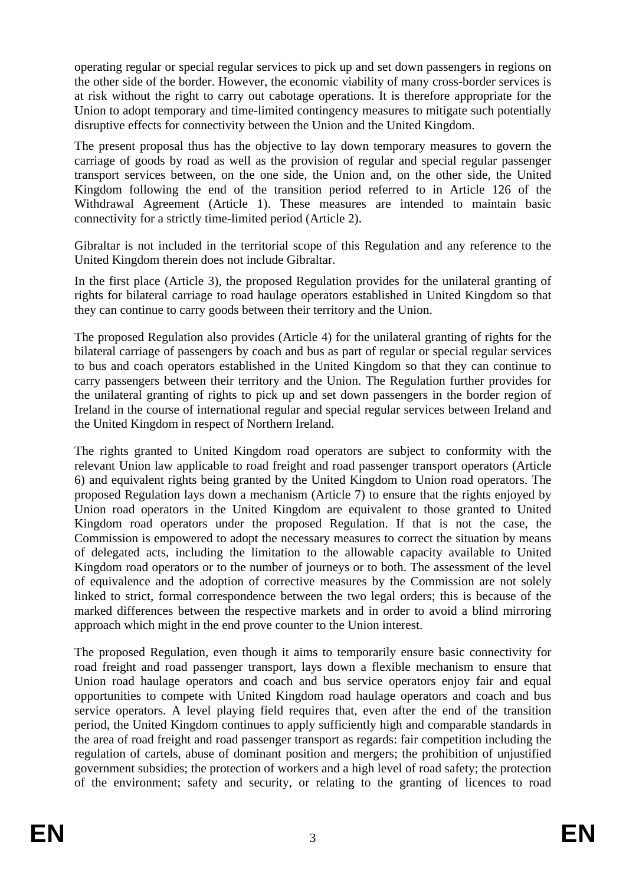operating regular or special regular services to pick up and set down passengers in regions on the other side of the border. However, the economic viability of many cross-border services is at risk without the right to carry out cabotage operations. It is therefore appropriate for the Union to adopt temporary and time-limited contingency measures to mitigate such potentially disruptive effects for connectivity between the Union and the United Kingdom.

The present proposal thus has the objective to lay down temporary measures to govern the carriage of goods by road as well as the provision of regular and special regular passenger transport services between, on the one side, the Union and, on the other side, the United Kingdom following the end of the transition period referred to in Article 126 of the Withdrawal Agreement (Article 1). These measures are intended to maintain basic connectivity for a strictly time-limited period (Article 2).

Gibraltar is not included in the territorial scope of this Regulation and any reference to the United Kingdom therein does not include Gibraltar.

In the first place (Article 3), the proposed Regulation provides for the unilateral granting of rights for bilateral carriage to road haulage operators established in United Kingdom so that they can continue to carry goods between their territory and the Union.

The proposed Regulation also provides (Article 4) for the unilateral granting of rights for the bilateral carriage of passengers by coach and bus as part of regular or special regular services to bus and coach operators established in the United Kingdom so that they can continue to carry passengers between their territory and the Union. The Regulation further provides for the unilateral granting of rights to pick up and set down passengers in the border region of Ireland in the course of international regular and special regular services between Ireland and the United Kingdom in respect of Northern Ireland.

The rights granted to United Kingdom road operators are subject to conformity with the relevant Union law applicable to road freight and road passenger transport operators (Article 6) and equivalent rights being granted by the United Kingdom to Union road operators. The proposed Regulation lays down a mechanism (Article 7) to ensure that the rights enjoyed by Union road operators in the United Kingdom are equivalent to those granted to United Kingdom road operators under the proposed Regulation. If that is not the case, the Commission is empowered to adopt the necessary measures to correct the situation by means of delegated acts, including the limitation to the allowable capacity available to United Kingdom road operators or to the number of journeys or to both. The assessment of the level of equivalence and the adoption of corrective measures by the Commission are not solely linked to strict, formal correspondence between the two legal orders; this is because of the marked differences between the respective markets and in order to avoid a blind mirroring approach which might in the end prove counter to the Union interest.

The proposed Regulation, even though it aims to temporarily ensure basic connectivity for road freight and road passenger transport, lays down a flexible mechanism to ensure that Union road haulage operators and coach and bus service operators enjoy fair and equal opportunities to compete with United Kingdom road haulage operators and coach and bus service operators. A level playing field requires that, even after the end of the transition period, the United Kingdom continues to apply sufficiently high and comparable standards in the area of road freight and road passenger transport as regards: fair competition including the regulation of cartels, abuse of dominant position and mergers; the prohibition of unjustified government subsidies; the protection of workers and a high level of road safety; the protection of the environment; safety and security, or relating to the granting of licences to road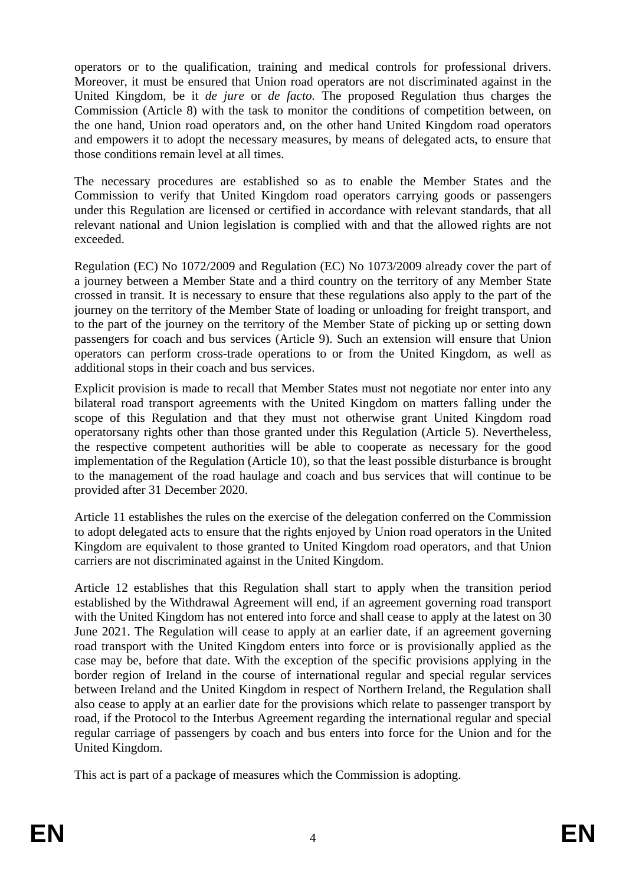operators or to the qualification, training and medical controls for professional drivers. Moreover, it must be ensured that Union road operators are not discriminated against in the United Kingdom, be it *de jure* or *de facto.* The proposed Regulation thus charges the Commission (Article 8) with the task to monitor the conditions of competition between, on the one hand, Union road operators and, on the other hand United Kingdom road operators and empowers it to adopt the necessary measures, by means of delegated acts, to ensure that those conditions remain level at all times.

The necessary procedures are established so as to enable the Member States and the Commission to verify that United Kingdom road operators carrying goods or passengers under this Regulation are licensed or certified in accordance with relevant standards, that all relevant national and Union legislation is complied with and that the allowed rights are not exceeded.

Regulation (EC) No 1072/2009 and Regulation (EC) No 1073/2009 already cover the part of a journey between a Member State and a third country on the territory of any Member State crossed in transit. It is necessary to ensure that these regulations also apply to the part of the journey on the territory of the Member State of loading or unloading for freight transport, and to the part of the journey on the territory of the Member State of picking up or setting down passengers for coach and bus services (Article 9). Such an extension will ensure that Union operators can perform cross-trade operations to or from the United Kingdom, as well as additional stops in their coach and bus services.

Explicit provision is made to recall that Member States must not negotiate nor enter into any bilateral road transport agreements with the United Kingdom on matters falling under the scope of this Regulation and that they must not otherwise grant United Kingdom road operatorsany rights other than those granted under this Regulation (Article 5). Nevertheless, the respective competent authorities will be able to cooperate as necessary for the good implementation of the Regulation (Article 10), so that the least possible disturbance is brought to the management of the road haulage and coach and bus services that will continue to be provided after 31 December 2020.

Article 11 establishes the rules on the exercise of the delegation conferred on the Commission to adopt delegated acts to ensure that the rights enjoyed by Union road operators in the United Kingdom are equivalent to those granted to United Kingdom road operators, and that Union carriers are not discriminated against in the United Kingdom.

Article 12 establishes that this Regulation shall start to apply when the transition period established by the Withdrawal Agreement will end, if an agreement governing road transport with the United Kingdom has not entered into force and shall cease to apply at the latest on 30 June 2021. The Regulation will cease to apply at an earlier date, if an agreement governing road transport with the United Kingdom enters into force or is provisionally applied as the case may be, before that date. With the exception of the specific provisions applying in the border region of Ireland in the course of international regular and special regular services between Ireland and the United Kingdom in respect of Northern Ireland, the Regulation shall also cease to apply at an earlier date for the provisions which relate to passenger transport by road, if the Protocol to the Interbus Agreement regarding the international regular and special regular carriage of passengers by coach and bus enters into force for the Union and for the United Kingdom.

This act is part of a package of measures which the Commission is adopting.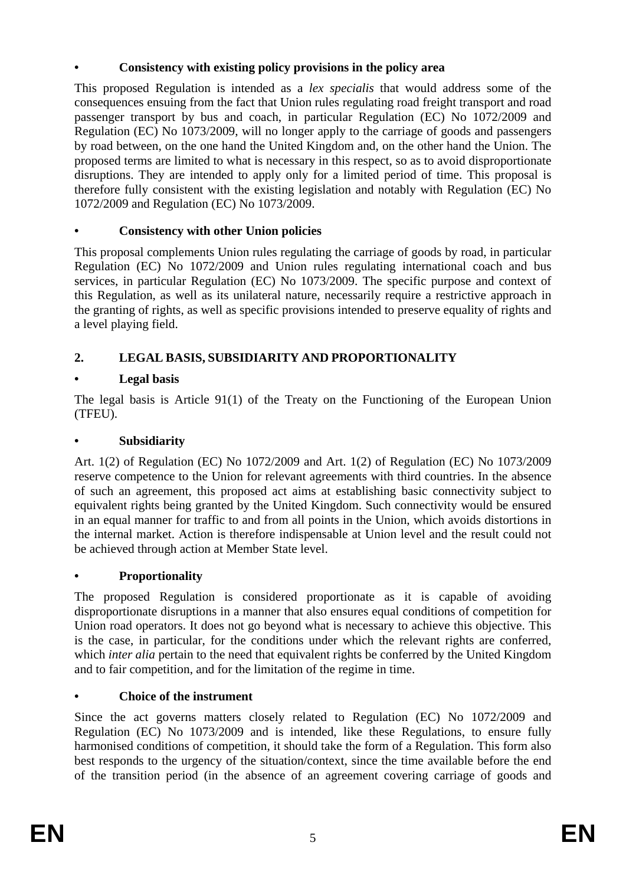## **• Consistency with existing policy provisions in the policy area**

This proposed Regulation is intended as a *lex specialis* that would address some of the consequences ensuing from the fact that Union rules regulating road freight transport and road passenger transport by bus and coach, in particular Regulation (EC) No 1072/2009 and Regulation (EC) No 1073/2009, will no longer apply to the carriage of goods and passengers by road between, on the one hand the United Kingdom and, on the other hand the Union. The proposed terms are limited to what is necessary in this respect, so as to avoid disproportionate disruptions. They are intended to apply only for a limited period of time. This proposal is therefore fully consistent with the existing legislation and notably with Regulation (EC) No 1072/2009 and Regulation (EC) No 1073/2009.

# **• Consistency with other Union policies**

This proposal complements Union rules regulating the carriage of goods by road, in particular Regulation (EC) No 1072/2009 and Union rules regulating international coach and bus services, in particular Regulation (EC) No 1073/2009. The specific purpose and context of this Regulation, as well as its unilateral nature, necessarily require a restrictive approach in the granting of rights, as well as specific provisions intended to preserve equality of rights and a level playing field.

# **2. LEGAL BASIS, SUBSIDIARITY AND PROPORTIONALITY**

# **• Legal basis**

The legal basis is Article 91(1) of the Treaty on the Functioning of the European Union (TFEU).

## **• Subsidiarity**

Art. 1(2) of Regulation (EC) No 1072/2009 and Art. 1(2) of Regulation (EC) No 1073/2009 reserve competence to the Union for relevant agreements with third countries. In the absence of such an agreement, this proposed act aims at establishing basic connectivity subject to equivalent rights being granted by the United Kingdom. Such connectivity would be ensured in an equal manner for traffic to and from all points in the Union, which avoids distortions in the internal market. Action is therefore indispensable at Union level and the result could not be achieved through action at Member State level.

# **• Proportionality**

The proposed Regulation is considered proportionate as it is capable of avoiding disproportionate disruptions in a manner that also ensures equal conditions of competition for Union road operators. It does not go beyond what is necessary to achieve this objective. This is the case, in particular, for the conditions under which the relevant rights are conferred, which *inter alia* pertain to the need that equivalent rights be conferred by the United Kingdom and to fair competition, and for the limitation of the regime in time.

# **• Choice of the instrument**

Since the act governs matters closely related to Regulation (EC) No 1072/2009 and Regulation (EC) No 1073/2009 and is intended, like these Regulations, to ensure fully harmonised conditions of competition, it should take the form of a Regulation. This form also best responds to the urgency of the situation/context, since the time available before the end of the transition period (in the absence of an agreement covering carriage of goods and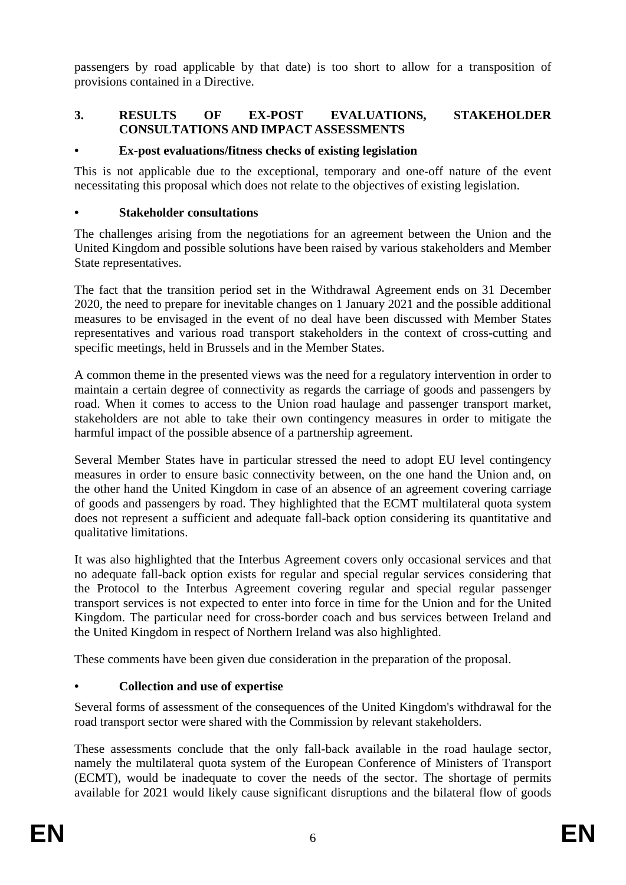passengers by road applicable by that date) is too short to allow for a transposition of provisions contained in a Directive.

## **3. RESULTS OF EX-POST EVALUATIONS, STAKEHOLDER CONSULTATIONS AND IMPACT ASSESSMENTS**

## **• Ex-post evaluations/fitness checks of existing legislation**

This is not applicable due to the exceptional, temporary and one-off nature of the event necessitating this proposal which does not relate to the objectives of existing legislation.

#### **• Stakeholder consultations**

The challenges arising from the negotiations for an agreement between the Union and the United Kingdom and possible solutions have been raised by various stakeholders and Member State representatives.

The fact that the transition period set in the Withdrawal Agreement ends on 31 December 2020, the need to prepare for inevitable changes on 1 January 2021 and the possible additional measures to be envisaged in the event of no deal have been discussed with Member States representatives and various road transport stakeholders in the context of cross-cutting and specific meetings, held in Brussels and in the Member States.

A common theme in the presented views was the need for a regulatory intervention in order to maintain a certain degree of connectivity as regards the carriage of goods and passengers by road. When it comes to access to the Union road haulage and passenger transport market, stakeholders are not able to take their own contingency measures in order to mitigate the harmful impact of the possible absence of a partnership agreement.

Several Member States have in particular stressed the need to adopt EU level contingency measures in order to ensure basic connectivity between, on the one hand the Union and, on the other hand the United Kingdom in case of an absence of an agreement covering carriage of goods and passengers by road. They highlighted that the ECMT multilateral quota system does not represent a sufficient and adequate fall-back option considering its quantitative and qualitative limitations.

It was also highlighted that the Interbus Agreement covers only occasional services and that no adequate fall-back option exists for regular and special regular services considering that the Protocol to the Interbus Agreement covering regular and special regular passenger transport services is not expected to enter into force in time for the Union and for the United Kingdom. The particular need for cross-border coach and bus services between Ireland and the United Kingdom in respect of Northern Ireland was also highlighted.

These comments have been given due consideration in the preparation of the proposal.

## **• Collection and use of expertise**

Several forms of assessment of the consequences of the United Kingdom's withdrawal for the road transport sector were shared with the Commission by relevant stakeholders.

These assessments conclude that the only fall-back available in the road haulage sector, namely the multilateral quota system of the European Conference of Ministers of Transport (ECMT), would be inadequate to cover the needs of the sector. The shortage of permits available for 2021 would likely cause significant disruptions and the bilateral flow of goods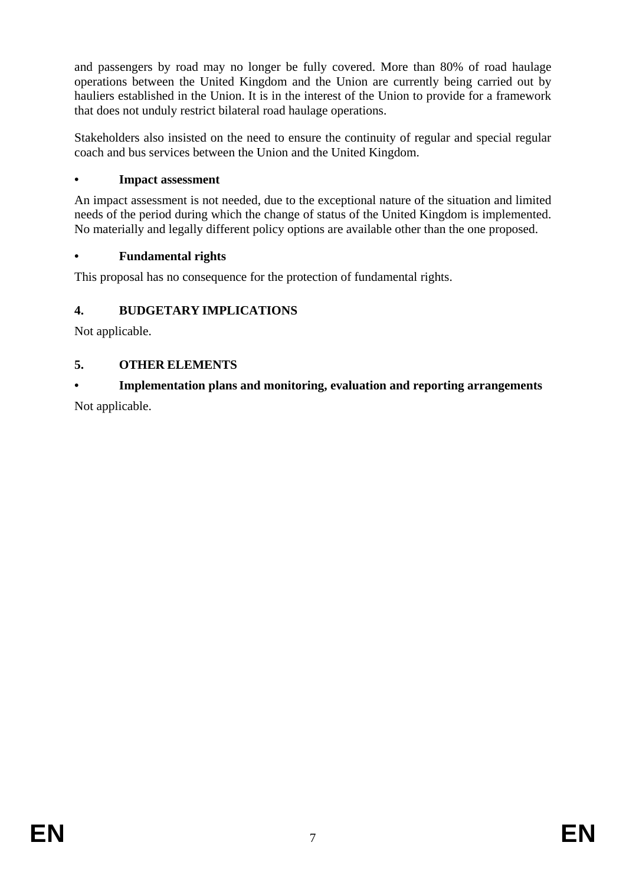and passengers by road may no longer be fully covered. More than 80% of road haulage operations between the United Kingdom and the Union are currently being carried out by hauliers established in the Union. It is in the interest of the Union to provide for a framework that does not unduly restrict bilateral road haulage operations.

Stakeholders also insisted on the need to ensure the continuity of regular and special regular coach and bus services between the Union and the United Kingdom.

## **• Impact assessment**

An impact assessment is not needed, due to the exceptional nature of the situation and limited needs of the period during which the change of status of the United Kingdom is implemented. No materially and legally different policy options are available other than the one proposed.

## **• Fundamental rights**

This proposal has no consequence for the protection of fundamental rights.

# **4. BUDGETARY IMPLICATIONS**

Not applicable.

# **5. OTHER ELEMENTS**

# **• Implementation plans and monitoring, evaluation and reporting arrangements**

Not applicable.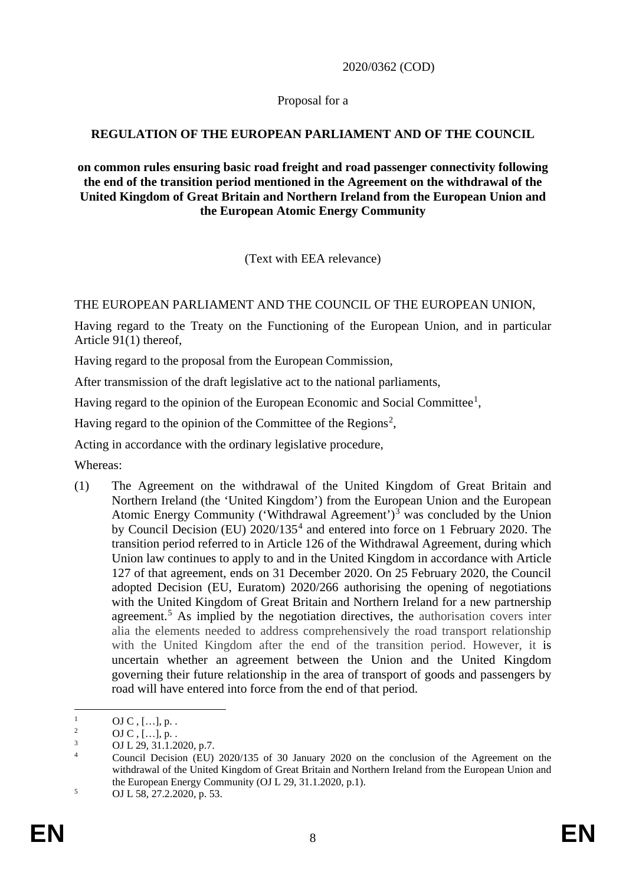2020/0362 (COD)

Proposal for a

## **REGULATION OF THE EUROPEAN PARLIAMENT AND OF THE COUNCIL**

**on common rules ensuring basic road freight and road passenger connectivity following the end of the transition period mentioned in the Agreement on the withdrawal of the United Kingdom of Great Britain and Northern Ireland from the European Union and the European Atomic Energy Community**

(Text with EEA relevance)

THE EUROPEAN PARLIAMENT AND THE COUNCIL OF THE EUROPEAN UNION,

Having regard to the Treaty on the Functioning of the European Union, and in particular Article 91(1) thereof,

Having regard to the proposal from the European Commission,

After transmission of the draft legislative act to the national parliaments,

Having regard to the opinion of the European Economic and Social Committee<sup>[1](#page-8-0)</sup>,

Having regard to the opinion of the Committee of the Regions<sup>[2](#page-8-1)</sup>,

Acting in accordance with the ordinary legislative procedure,

Whereas:

(1) The Agreement on the withdrawal of the United Kingdom of Great Britain and Northern Ireland (the 'United Kingdom') from the European Union and the European Atomic Energy Community ('Withdrawal Agreement')<sup>[3](#page-8-2)</sup> was concluded by the Union by Council Decision (EU) 2020/135[4](#page-8-3) and entered into force on 1 February 2020. The transition period referred to in Article 126 of the Withdrawal Agreement, during which Union law continues to apply to and in the United Kingdom in accordance with Article 127 of that agreement, ends on 31 December 2020. On 25 February 2020, the Council adopted Decision (EU, Euratom) 2020/266 authorising the opening of negotiations with the United Kingdom of Great Britain and Northern Ireland for a new partnership agreement.<sup>[5](#page-8-4)</sup> As implied by the negotiation directives, the authorisation covers inter alia the elements needed to address comprehensively the road transport relationship with the United Kingdom after the end of the transition period. However, it is uncertain whether an agreement between the Union and the United Kingdom governing their future relationship in the area of transport of goods and passengers by road will have entered into force from the end of that period.

<span id="page-8-0"></span> $\frac{1}{2}$  OJ C , [...], p. .

<span id="page-8-1"></span> $^{2}$  OJ C, [...], p. .

 $\frac{3}{4}$  OJ L 29, 31.1.2020, p.7.

<span id="page-8-3"></span><span id="page-8-2"></span><sup>4</sup> Council Decision (EU) 2020/135 of 30 January 2020 on the conclusion of the Agreement on the withdrawal of the United Kingdom of Great Britain and Northern Ireland from the European Union and the European Energy Community (OJ L 29, 31.1.2020, p.1).

<span id="page-8-4"></span> $5$  OJ L 58, 27.2.2020, p. 53.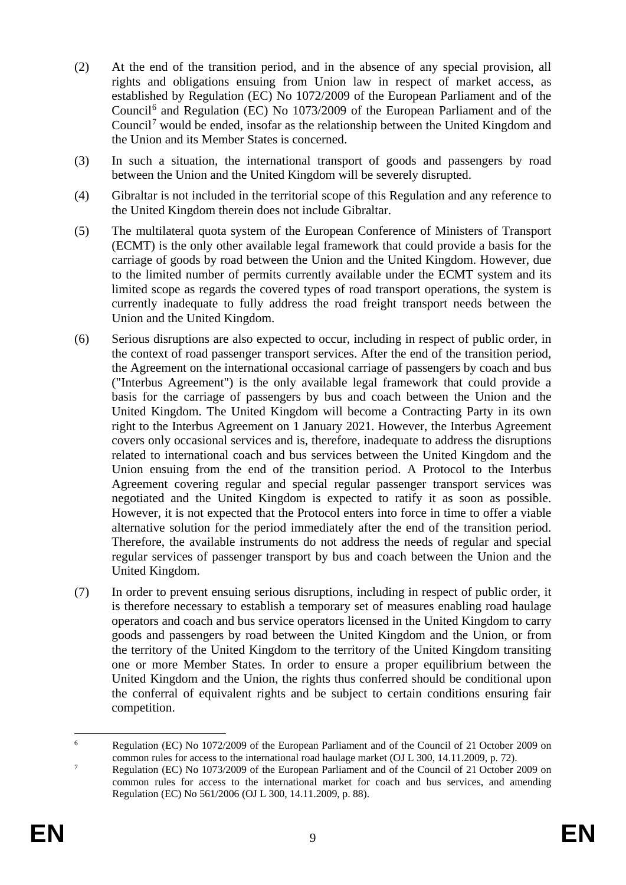- (2) At the end of the transition period, and in the absence of any special provision, all rights and obligations ensuing from Union law in respect of market access, as established by Regulation (EC) No 1072/2009 of the European Parliament and of the Council[6](#page-9-0) and Regulation (EC) No 1073/2009 of the European Parliament and of the Council[7](#page-9-1) would be ended, insofar as the relationship between the United Kingdom and the Union and its Member States is concerned.
- (3) In such a situation, the international transport of goods and passengers by road between the Union and the United Kingdom will be severely disrupted.
- (4) Gibraltar is not included in the territorial scope of this Regulation and any reference to the United Kingdom therein does not include Gibraltar.
- (5) The multilateral quota system of the European Conference of Ministers of Transport (ECMT) is the only other available legal framework that could provide a basis for the carriage of goods by road between the Union and the United Kingdom. However, due to the limited number of permits currently available under the ECMT system and its limited scope as regards the covered types of road transport operations, the system is currently inadequate to fully address the road freight transport needs between the Union and the United Kingdom.
- (6) Serious disruptions are also expected to occur, including in respect of public order, in the context of road passenger transport services. After the end of the transition period, the Agreement on the international occasional carriage of passengers by coach and bus ("Interbus Agreement") is the only available legal framework that could provide a basis for the carriage of passengers by bus and coach between the Union and the United Kingdom. The United Kingdom will become a Contracting Party in its own right to the Interbus Agreement on 1 January 2021. However, the Interbus Agreement covers only occasional services and is, therefore, inadequate to address the disruptions related to international coach and bus services between the United Kingdom and the Union ensuing from the end of the transition period. A Protocol to the Interbus Agreement covering regular and special regular passenger transport services was negotiated and the United Kingdom is expected to ratify it as soon as possible. However, it is not expected that the Protocol enters into force in time to offer a viable alternative solution for the period immediately after the end of the transition period. Therefore, the available instruments do not address the needs of regular and special regular services of passenger transport by bus and coach between the Union and the United Kingdom.
- (7) In order to prevent ensuing serious disruptions, including in respect of public order, it is therefore necessary to establish a temporary set of measures enabling road haulage operators and coach and bus service operators licensed in the United Kingdom to carry goods and passengers by road between the United Kingdom and the Union, or from the territory of the United Kingdom to the territory of the United Kingdom transiting one or more Member States. In order to ensure a proper equilibrium between the United Kingdom and the Union, the rights thus conferred should be conditional upon the conferral of equivalent rights and be subject to certain conditions ensuring fair competition.

<span id="page-9-0"></span> <sup>6</sup> Regulation (EC) No 1072/2009 of the European Parliament and of the Council of 21 October 2009 on common rules for access to the international road haulage market (OJ L 300, 14.11.2009, p. 72).

<span id="page-9-1"></span><sup>&</sup>lt;sup>7</sup> Regulation (EC) No 1073/2009 of the European Parliament and of the Council of 21 October 2009 on common rules for access to the international market for coach and bus services, and amending Regulation (EC) No 561/2006 (OJ L 300, 14.11.2009, p. 88).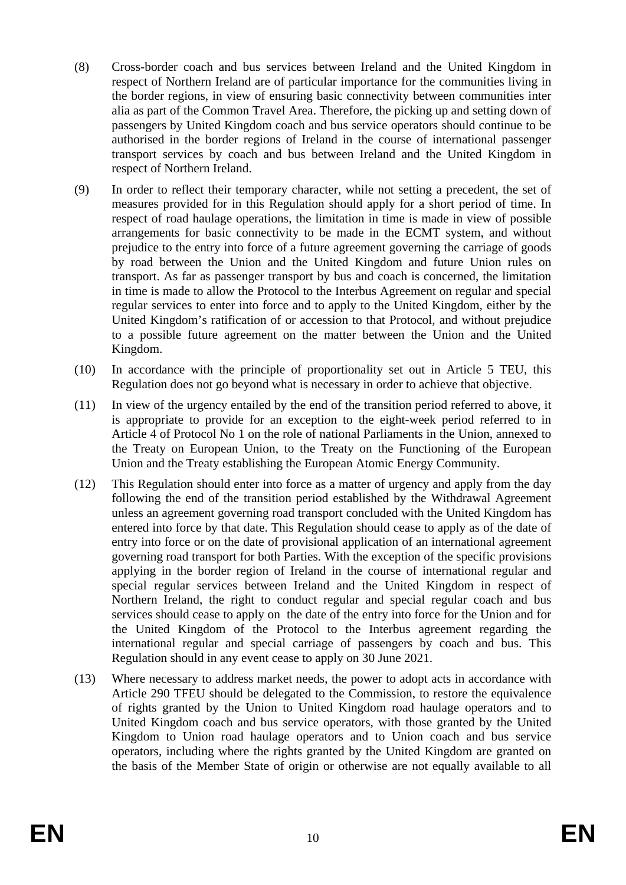- (8) Cross-border coach and bus services between Ireland and the United Kingdom in respect of Northern Ireland are of particular importance for the communities living in the border regions, in view of ensuring basic connectivity between communities inter alia as part of the Common Travel Area. Therefore, the picking up and setting down of passengers by United Kingdom coach and bus service operators should continue to be authorised in the border regions of Ireland in the course of international passenger transport services by coach and bus between Ireland and the United Kingdom in respect of Northern Ireland.
- (9) In order to reflect their temporary character, while not setting a precedent, the set of measures provided for in this Regulation should apply for a short period of time. In respect of road haulage operations, the limitation in time is made in view of possible arrangements for basic connectivity to be made in the ECMT system, and without prejudice to the entry into force of a future agreement governing the carriage of goods by road between the Union and the United Kingdom and future Union rules on transport. As far as passenger transport by bus and coach is concerned, the limitation in time is made to allow the Protocol to the Interbus Agreement on regular and special regular services to enter into force and to apply to the United Kingdom, either by the United Kingdom's ratification of or accession to that Protocol, and without prejudice to a possible future agreement on the matter between the Union and the United Kingdom.
- (10) In accordance with the principle of proportionality set out in Article 5 TEU, this Regulation does not go beyond what is necessary in order to achieve that objective.
- (11) In view of the urgency entailed by the end of the transition period referred to above, it is appropriate to provide for an exception to the eight-week period referred to in Article 4 of Protocol No 1 on the role of national Parliaments in the Union, annexed to the Treaty on European Union, to the Treaty on the Functioning of the European Union and the Treaty establishing the European Atomic Energy Community.
- (12) This Regulation should enter into force as a matter of urgency and apply from the day following the end of the transition period established by the Withdrawal Agreement unless an agreement governing road transport concluded with the United Kingdom has entered into force by that date. This Regulation should cease to apply as of the date of entry into force or on the date of provisional application of an international agreement governing road transport for both Parties. With the exception of the specific provisions applying in the border region of Ireland in the course of international regular and special regular services between Ireland and the United Kingdom in respect of Northern Ireland, the right to conduct regular and special regular coach and bus services should cease to apply on the date of the entry into force for the Union and for the United Kingdom of the Protocol to the Interbus agreement regarding the international regular and special carriage of passengers by coach and bus. This Regulation should in any event cease to apply on 30 June 2021.
- (13) Where necessary to address market needs, the power to adopt acts in accordance with Article 290 TFEU should be delegated to the Commission, to restore the equivalence of rights granted by the Union to United Kingdom road haulage operators and to United Kingdom coach and bus service operators, with those granted by the United Kingdom to Union road haulage operators and to Union coach and bus service operators, including where the rights granted by the United Kingdom are granted on the basis of the Member State of origin or otherwise are not equally available to all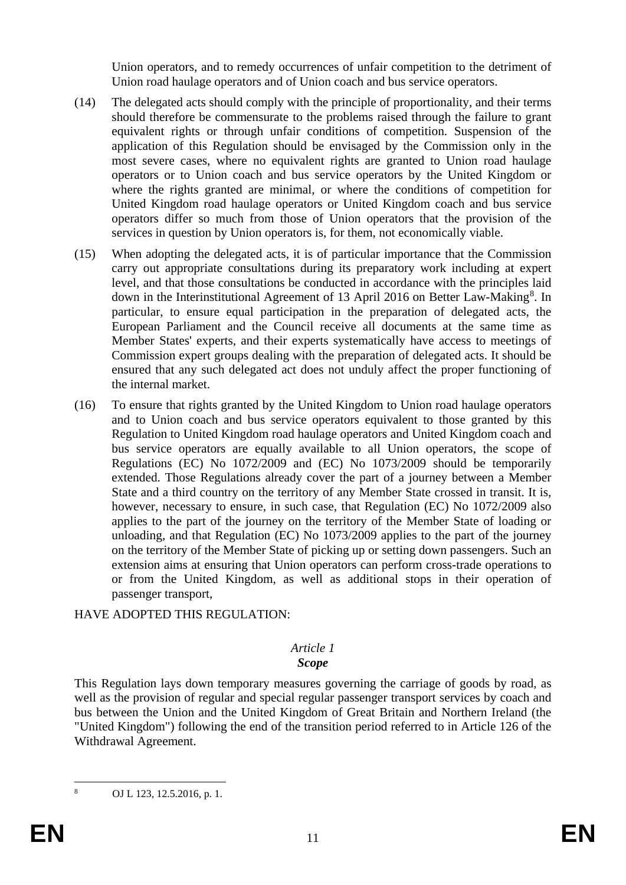Union operators, and to remedy occurrences of unfair competition to the detriment of Union road haulage operators and of Union coach and bus service operators.

- (14) The delegated acts should comply with the principle of proportionality, and their terms should therefore be commensurate to the problems raised through the failure to grant equivalent rights or through unfair conditions of competition. Suspension of the application of this Regulation should be envisaged by the Commission only in the most severe cases, where no equivalent rights are granted to Union road haulage operators or to Union coach and bus service operators by the United Kingdom or where the rights granted are minimal, or where the conditions of competition for United Kingdom road haulage operators or United Kingdom coach and bus service operators differ so much from those of Union operators that the provision of the services in question by Union operators is, for them, not economically viable.
- (15) When adopting the delegated acts, it is of particular importance that the Commission carry out appropriate consultations during its preparatory work including at expert level, and that those consultations be conducted in accordance with the principles laid down in the Interinstitutional Agreement of 13 April 2016 on Better Law-Making<sup>[8](#page-11-0)</sup>. In particular, to ensure equal participation in the preparation of delegated acts, the European Parliament and the Council receive all documents at the same time as Member States' experts, and their experts systematically have access to meetings of Commission expert groups dealing with the preparation of delegated acts. It should be ensured that any such delegated act does not unduly affect the proper functioning of the internal market.
- (16) To ensure that rights granted by the United Kingdom to Union road haulage operators and to Union coach and bus service operators equivalent to those granted by this Regulation to United Kingdom road haulage operators and United Kingdom coach and bus service operators are equally available to all Union operators, the scope of Regulations (EC) No 1072/2009 and (EC) No 1073/2009 should be temporarily extended. Those Regulations already cover the part of a journey between a Member State and a third country on the territory of any Member State crossed in transit. It is, however, necessary to ensure, in such case, that Regulation (EC) No 1072/2009 also applies to the part of the journey on the territory of the Member State of loading or unloading, and that Regulation (EC) No 1073/2009 applies to the part of the journey on the territory of the Member State of picking up or setting down passengers. Such an extension aims at ensuring that Union operators can perform cross-trade operations to or from the United Kingdom, as well as additional stops in their operation of passenger transport,

HAVE ADOPTED THIS REGULATION:

## *Article 1*

# *Scope*

This Regulation lays down temporary measures governing the carriage of goods by road, as well as the provision of regular and special regular passenger transport services by coach and bus between the Union and the United Kingdom of Great Britain and Northern Ireland (the "United Kingdom") following the end of the transition period referred to in Article 126 of the Withdrawal Agreement.

<span id="page-11-0"></span> <sup>8</sup> OJ L 123, 12.5.2016, p. 1.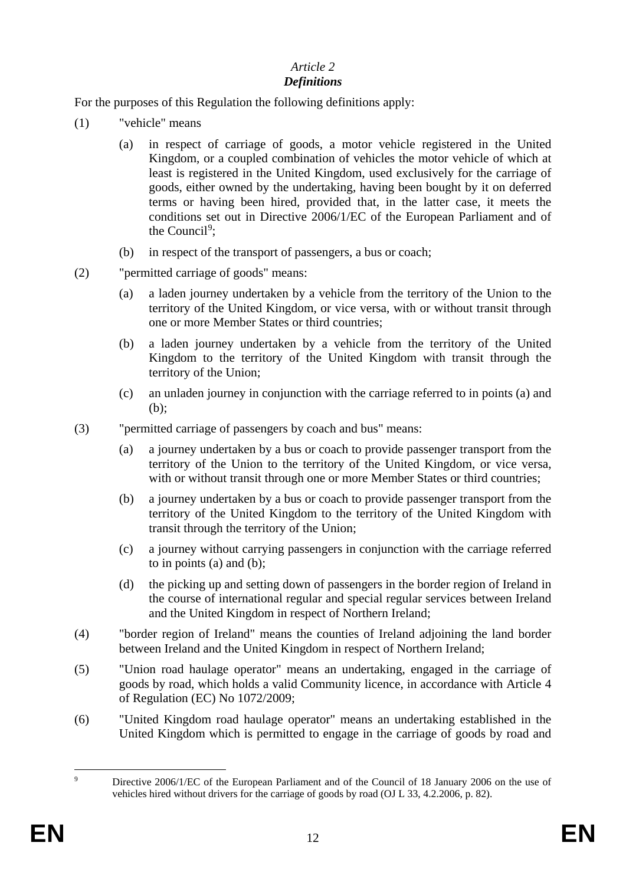## *Article 2*

# *Definitions*

For the purposes of this Regulation the following definitions apply:

- (1) "vehicle" means
	- (a) in respect of carriage of goods, a motor vehicle registered in the United Kingdom, or a coupled combination of vehicles the motor vehicle of which at least is registered in the United Kingdom, used exclusively for the carriage of goods, either owned by the undertaking, having been bought by it on deferred terms or having been hired, provided that, in the latter case, it meets the conditions set out in Directive 2006/1/EC of the European Parliament and of the Council<sup>[9](#page-12-0)</sup>;
	- (b) in respect of the transport of passengers, a bus or coach;
- (2) "permitted carriage of goods" means:
	- (a) a laden journey undertaken by a vehicle from the territory of the Union to the territory of the United Kingdom, or vice versa, with or without transit through one or more Member States or third countries;
	- (b) a laden journey undertaken by a vehicle from the territory of the United Kingdom to the territory of the United Kingdom with transit through the territory of the Union;
	- (c) an unladen journey in conjunction with the carriage referred to in points (a) and (b);
- (3) "permitted carriage of passengers by coach and bus" means:
	- (a) a journey undertaken by a bus or coach to provide passenger transport from the territory of the Union to the territory of the United Kingdom, or vice versa, with or without transit through one or more Member States or third countries:
	- (b) a journey undertaken by a bus or coach to provide passenger transport from the territory of the United Kingdom to the territory of the United Kingdom with transit through the territory of the Union;
	- (c) a journey without carrying passengers in conjunction with the carriage referred to in points (a) and (b);
	- (d) the picking up and setting down of passengers in the border region of Ireland in the course of international regular and special regular services between Ireland and the United Kingdom in respect of Northern Ireland;
- (4) "border region of Ireland" means the counties of Ireland adjoining the land border between Ireland and the United Kingdom in respect of Northern Ireland;
- (5) "Union road haulage operator" means an undertaking, engaged in the carriage of goods by road, which holds a valid Community licence, in accordance with Article 4 of Regulation (EC) No 1072/2009;
- (6) "United Kingdom road haulage operator" means an undertaking established in the United Kingdom which is permitted to engage in the carriage of goods by road and

<span id="page-12-0"></span><sup>&</sup>lt;sup>9</sup> Directive 2006/1/EC of the European Parliament and of the Council of 18 January 2006 on the use of vehicles hired without drivers for the carriage of goods by road (OJ L 33, 4.2.2006, p. 82).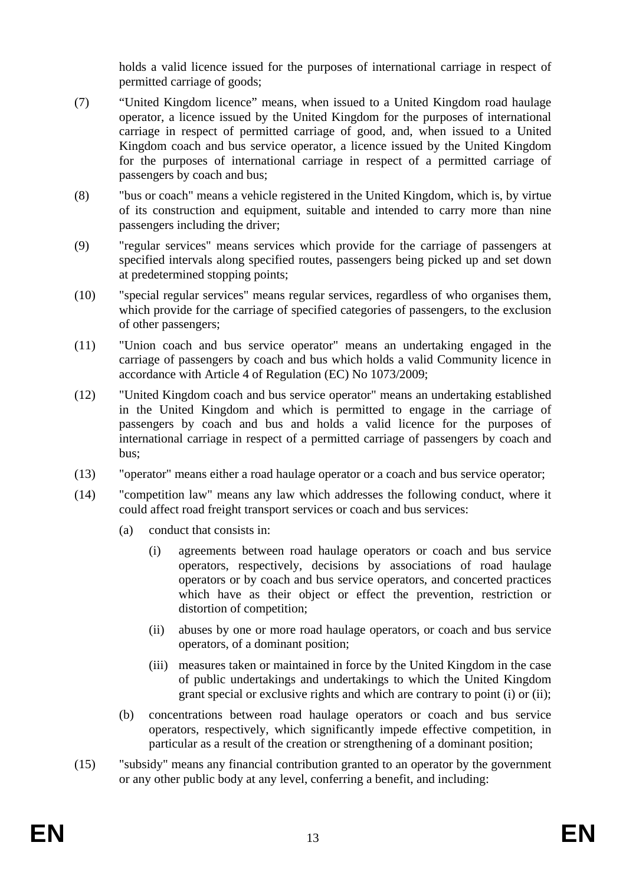holds a valid licence issued for the purposes of international carriage in respect of permitted carriage of goods;

- (7) "United Kingdom licence" means, when issued to a United Kingdom road haulage operator, a licence issued by the United Kingdom for the purposes of international carriage in respect of permitted carriage of good, and, when issued to a United Kingdom coach and bus service operator, a licence issued by the United Kingdom for the purposes of international carriage in respect of a permitted carriage of passengers by coach and bus;
- (8) "bus or coach" means a vehicle registered in the United Kingdom, which is, by virtue of its construction and equipment, suitable and intended to carry more than nine passengers including the driver;
- (9) "regular services" means services which provide for the carriage of passengers at specified intervals along specified routes, passengers being picked up and set down at predetermined stopping points;
- (10) "special regular services" means regular services, regardless of who organises them, which provide for the carriage of specified categories of passengers, to the exclusion of other passengers;
- (11) "Union coach and bus service operator" means an undertaking engaged in the carriage of passengers by coach and bus which holds a valid Community licence in accordance with Article 4 of Regulation (EC) No 1073/2009;
- (12) "United Kingdom coach and bus service operator" means an undertaking established in the United Kingdom and which is permitted to engage in the carriage of passengers by coach and bus and holds a valid licence for the purposes of international carriage in respect of a permitted carriage of passengers by coach and bus;
- (13) "operator" means either a road haulage operator or a coach and bus service operator;
- (14) "competition law" means any law which addresses the following conduct, where it could affect road freight transport services or coach and bus services:
	- (a) conduct that consists in:
		- (i) agreements between road haulage operators or coach and bus service operators, respectively, decisions by associations of road haulage operators or by coach and bus service operators, and concerted practices which have as their object or effect the prevention, restriction or distortion of competition;
		- (ii) abuses by one or more road haulage operators, or coach and bus service operators, of a dominant position;
		- (iii) measures taken or maintained in force by the United Kingdom in the case of public undertakings and undertakings to which the United Kingdom grant special or exclusive rights and which are contrary to point (i) or (ii);
	- (b) concentrations between road haulage operators or coach and bus service operators, respectively, which significantly impede effective competition, in particular as a result of the creation or strengthening of a dominant position;
- (15) "subsidy" means any financial contribution granted to an operator by the government or any other public body at any level, conferring a benefit, and including: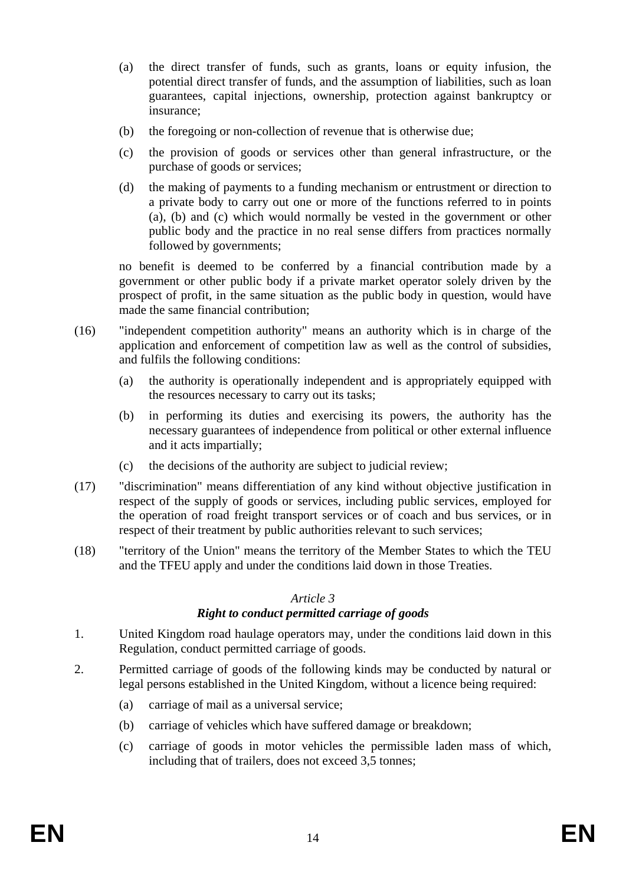- (a) the direct transfer of funds, such as grants, loans or equity infusion, the potential direct transfer of funds, and the assumption of liabilities, such as loan guarantees, capital injections, ownership, protection against bankruptcy or insurance;
- (b) the foregoing or non-collection of revenue that is otherwise due;
- (c) the provision of goods or services other than general infrastructure, or the purchase of goods or services;
- (d) the making of payments to a funding mechanism or entrustment or direction to a private body to carry out one or more of the functions referred to in points (a), (b) and (c) which would normally be vested in the government or other public body and the practice in no real sense differs from practices normally followed by governments;

no benefit is deemed to be conferred by a financial contribution made by a government or other public body if a private market operator solely driven by the prospect of profit, in the same situation as the public body in question, would have made the same financial contribution;

- (16) "independent competition authority" means an authority which is in charge of the application and enforcement of competition law as well as the control of subsidies, and fulfils the following conditions:
	- (a) the authority is operationally independent and is appropriately equipped with the resources necessary to carry out its tasks;
	- (b) in performing its duties and exercising its powers, the authority has the necessary guarantees of independence from political or other external influence and it acts impartially;
	- (c) the decisions of the authority are subject to judicial review;
- (17) "discrimination" means differentiation of any kind without objective justification in respect of the supply of goods or services, including public services, employed for the operation of road freight transport services or of coach and bus services, or in respect of their treatment by public authorities relevant to such services;
- (18) "territory of the Union" means the territory of the Member States to which the TEU and the TFEU apply and under the conditions laid down in those Treaties.

## *Article 3*

## *Right to conduct permitted carriage of goods*

- 1. United Kingdom road haulage operators may, under the conditions laid down in this Regulation, conduct permitted carriage of goods.
- 2. Permitted carriage of goods of the following kinds may be conducted by natural or legal persons established in the United Kingdom, without a licence being required:
	- (a) carriage of mail as a universal service;
	- (b) carriage of vehicles which have suffered damage or breakdown;
	- (c) carriage of goods in motor vehicles the permissible laden mass of which, including that of trailers, does not exceed 3,5 tonnes;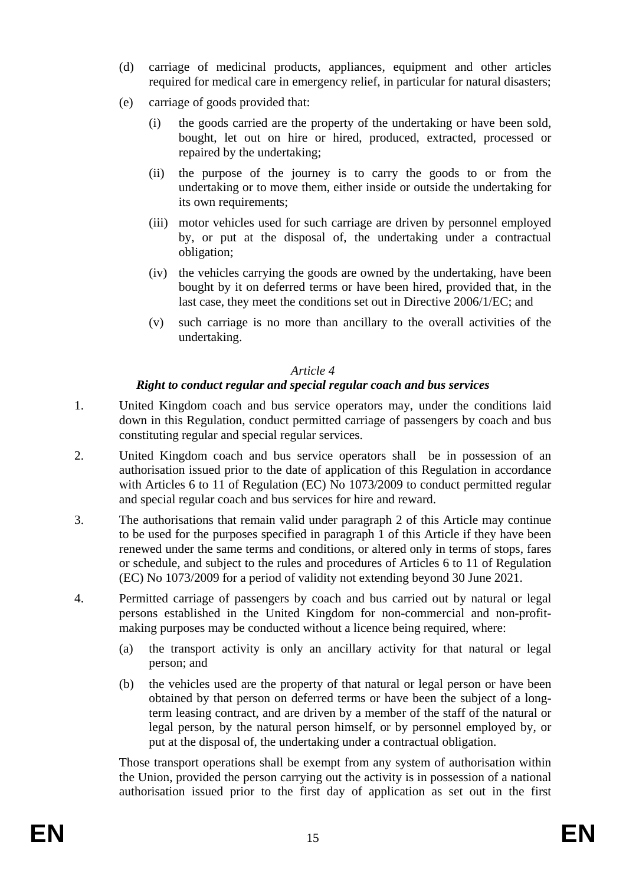- (d) carriage of medicinal products, appliances, equipment and other articles required for medical care in emergency relief, in particular for natural disasters;
- (e) carriage of goods provided that:
	- (i) the goods carried are the property of the undertaking or have been sold, bought, let out on hire or hired, produced, extracted, processed or repaired by the undertaking;
	- (ii) the purpose of the journey is to carry the goods to or from the undertaking or to move them, either inside or outside the undertaking for its own requirements;
	- (iii) motor vehicles used for such carriage are driven by personnel employed by, or put at the disposal of, the undertaking under a contractual obligation;
	- (iv) the vehicles carrying the goods are owned by the undertaking, have been bought by it on deferred terms or have been hired, provided that, in the last case, they meet the conditions set out in Directive 2006/1/EC; and
	- (v) such carriage is no more than ancillary to the overall activities of the undertaking.

## *Article 4*

## *Right to conduct regular and special regular coach and bus services*

- 1. United Kingdom coach and bus service operators may, under the conditions laid down in this Regulation, conduct permitted carriage of passengers by coach and bus constituting regular and special regular services.
- 2. United Kingdom coach and bus service operators shall be in possession of an authorisation issued prior to the date of application of this Regulation in accordance with Articles 6 to 11 of Regulation (EC) No 1073/2009 to conduct permitted regular and special regular coach and bus services for hire and reward.
- 3. The authorisations that remain valid under paragraph 2 of this Article may continue to be used for the purposes specified in paragraph 1 of this Article if they have been renewed under the same terms and conditions, or altered only in terms of stops, fares or schedule, and subject to the rules and procedures of Articles 6 to 11 of Regulation (EC) No 1073/2009 for a period of validity not extending beyond 30 June 2021.
- 4. Permitted carriage of passengers by coach and bus carried out by natural or legal persons established in the United Kingdom for non-commercial and non-profitmaking purposes may be conducted without a licence being required, where:
	- (a) the transport activity is only an ancillary activity for that natural or legal person; and
	- (b) the vehicles used are the property of that natural or legal person or have been obtained by that person on deferred terms or have been the subject of a longterm leasing contract, and are driven by a member of the staff of the natural or legal person, by the natural person himself, or by personnel employed by, or put at the disposal of, the undertaking under a contractual obligation.

Those transport operations shall be exempt from any system of authorisation within the Union, provided the person carrying out the activity is in possession of a national authorisation issued prior to the first day of application as set out in the first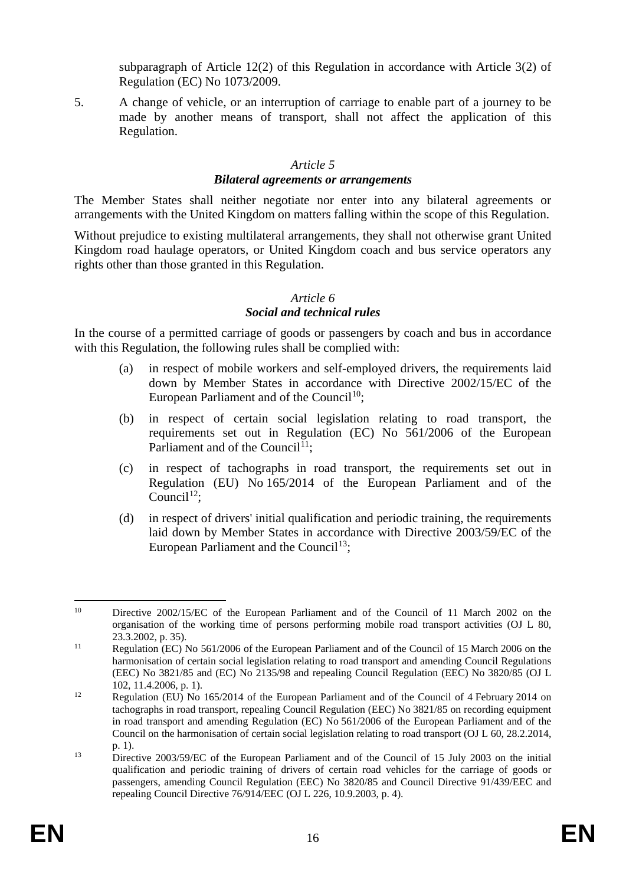subparagraph of Article 12(2) of this Regulation in accordance with Article 3(2) of Regulation (EC) No 1073/2009.

5. A change of vehicle, or an interruption of carriage to enable part of a journey to be made by another means of transport, shall not affect the application of this Regulation.

#### *Article 5 Bilateral agreements or arrangements*

The Member States shall neither negotiate nor enter into any bilateral agreements or arrangements with the United Kingdom on matters falling within the scope of this Regulation.

Without prejudice to existing multilateral arrangements, they shall not otherwise grant United Kingdom road haulage operators, or United Kingdom coach and bus service operators any rights other than those granted in this Regulation.

## *Article 6*

## *Social and technical rules*

In the course of a permitted carriage of goods or passengers by coach and bus in accordance with this Regulation, the following rules shall be complied with:

- (a) in respect of mobile workers and self-employed drivers, the requirements laid down by Member States in accordance with Directive 2002/15/EC of the European Parliament and of the Council<sup>[10](#page-16-0)</sup>;
- (b) in respect of certain social legislation relating to road transport, the requirements set out in Regulation (EC) No 561/2006 of the European Parliament and of the Council<sup>[11](#page-16-1)</sup>;
- (c) in respect of tachographs in road transport, the requirements set out in Regulation (EU) No 165/2014 of the European Parliament and of the Council<sup>[12](#page-16-2)</sup>;
- (d) in respect of drivers' initial qualification and periodic training, the requirements laid down by Member States in accordance with Directive 2003/59/EC of the European Parliament and the Council<sup>[13](#page-16-3)</sup>:

<span id="page-16-0"></span><sup>&</sup>lt;sup>10</sup> Directive 2002/15/EC of the European Parliament and of the Council of 11 March 2002 on the organisation of the working time of persons performing mobile road transport activities (OJ L 80, 23.3.2002, p. 35).

<span id="page-16-1"></span><sup>&</sup>lt;sup>11</sup> Regulation (EC) No 561/2006 of the European Parliament and of the Council of 15 March 2006 on the harmonisation of certain social legislation relating to road transport and amending Council Regulations (EEC) No 3821/85 and (EC) No 2135/98 and repealing Council Regulation (EEC) No 3820/85 (OJ L 102, 11.4.2006, p. 1).

<span id="page-16-2"></span><sup>&</sup>lt;sup>12</sup> Regulation (EU) No 165/2014 of the European Parliament and of the Council of 4 February 2014 on tachographs in road transport, repealing Council Regulation (EEC) No 3821/85 on recording equipment in road transport and amending Regulation (EC) No 561/2006 of the European Parliament and of the Council on the harmonisation of certain social legislation relating to road transport (OJ L 60, 28.2.2014, p. 1).

<span id="page-16-3"></span><sup>&</sup>lt;sup>13</sup> Directive 2003/59/EC of the European Parliament and of the Council of 15 July 2003 on the initial qualification and periodic training of drivers of certain road vehicles for the carriage of goods or passengers, amending Council Regulation (EEC) No 3820/85 and Council Directive 91/439/EEC and repealing Council Directive 76/914/EEC (OJ L 226, 10.9.2003, p. 4).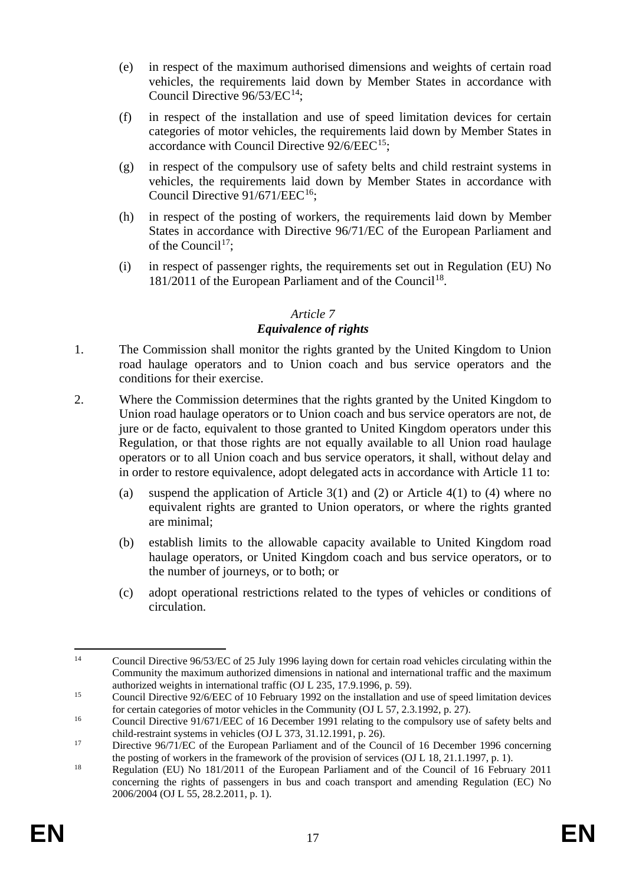- (e) in respect of the maximum authorised dimensions and weights of certain road vehicles, the requirements laid down by Member States in accordance with Council Directive 96/53/EC<sup>14</sup>;
- (f) in respect of the installation and use of speed limitation devices for certain categories of motor vehicles, the requirements laid down by Member States in accordance with Council Directive  $92/6/EEC^{15}$ ;
- (g) in respect of the compulsory use of safety belts and child restraint systems in vehicles, the requirements laid down by Member States in accordance with Council Directive  $91/671/EEC^{16}$  $91/671/EEC^{16}$  $91/671/EEC^{16}$ :
- (h) in respect of the posting of workers, the requirements laid down by Member States in accordance with Directive 96/71/EC of the European Parliament and of the Council<sup>17</sup>:
- (i) in respect of passenger rights, the requirements set out in Regulation (EU) No [18](#page-17-4)1/2011 of the European Parliament and of the Council<sup>18</sup>.

#### *Article 7 Equivalence of rights*

- 1. The Commission shall monitor the rights granted by the United Kingdom to Union road haulage operators and to Union coach and bus service operators and the conditions for their exercise.
- 2. Where the Commission determines that the rights granted by the United Kingdom to Union road haulage operators or to Union coach and bus service operators are not, de jure or de facto, equivalent to those granted to United Kingdom operators under this Regulation, or that those rights are not equally available to all Union road haulage operators or to all Union coach and bus service operators, it shall, without delay and in order to restore equivalence, adopt delegated acts in accordance with Article 11 to:
	- (a) suspend the application of Article 3(1) and (2) or Article 4(1) to (4) where no equivalent rights are granted to Union operators, or where the rights granted are minimal;
	- (b) establish limits to the allowable capacity available to United Kingdom road haulage operators, or United Kingdom coach and bus service operators, or to the number of journeys, or to both; or
	- (c) adopt operational restrictions related to the types of vehicles or conditions of circulation.

<span id="page-17-0"></span><sup>&</sup>lt;sup>14</sup> Council Directive 96/53/EC of 25 July 1996 laying down for certain road vehicles circulating within the Community the maximum authorized dimensions in national and international traffic and the maximum authorized weights in international traffic (OJ L 235, 17.9.1996, p. 59).

<span id="page-17-1"></span><sup>&</sup>lt;sup>15</sup> Council Directive 92/6/EEC of 10 February 1992 on the installation and use of speed limitation devices for certain categories of motor vehicles in the Community (OJ L 57, 2.3.1992, p. 27).

<span id="page-17-2"></span><sup>&</sup>lt;sup>16</sup> Council Directive 91/671/EEC of 16 December 1991 relating to the compulsory use of safety belts and child-restraint systems in vehicles (OJ L 373, 31.12.1991, p. 26).

<span id="page-17-3"></span><sup>&</sup>lt;sup>17</sup> Directive 96/71/EC of the European Parliament and of the Council of 16 December 1996 concerning the posting of workers in the framework of the provision of services (OJ L 18, 21.1.1997, p. 1).

<span id="page-17-4"></span><sup>&</sup>lt;sup>18</sup> Regulation (EU) No 181/2011 of the European Parliament and of the Council of 16 February 2011 concerning the rights of passengers in bus and coach transport and amending Regulation (EC) No 2006/2004 (OJ L 55, 28.2.2011, p. 1).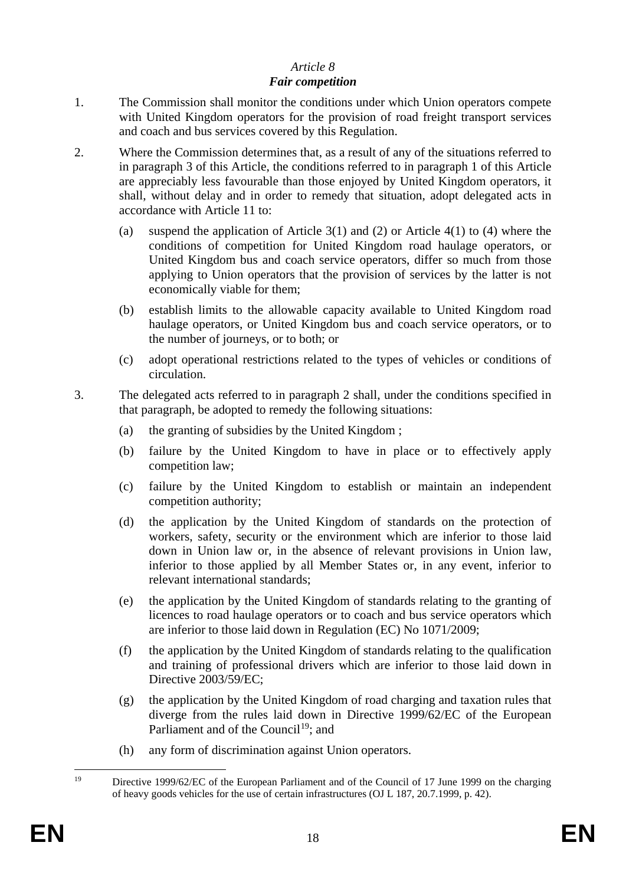# *Article 8*

#### *Fair competition*

- 1. The Commission shall monitor the conditions under which Union operators compete with United Kingdom operators for the provision of road freight transport services and coach and bus services covered by this Regulation.
- 2. Where the Commission determines that, as a result of any of the situations referred to in paragraph 3 of this Article, the conditions referred to in paragraph 1 of this Article are appreciably less favourable than those enjoyed by United Kingdom operators, it shall, without delay and in order to remedy that situation, adopt delegated acts in accordance with Article 11 to:
	- (a) suspend the application of Article 3(1) and (2) or Article 4(1) to (4) where the conditions of competition for United Kingdom road haulage operators, or United Kingdom bus and coach service operators, differ so much from those applying to Union operators that the provision of services by the latter is not economically viable for them;
	- (b) establish limits to the allowable capacity available to United Kingdom road haulage operators, or United Kingdom bus and coach service operators, or to the number of journeys, or to both; or
	- (c) adopt operational restrictions related to the types of vehicles or conditions of circulation.
- 3. The delegated acts referred to in paragraph 2 shall, under the conditions specified in that paragraph, be adopted to remedy the following situations:
	- (a) the granting of subsidies by the United Kingdom ;
	- (b) failure by the United Kingdom to have in place or to effectively apply competition law;
	- (c) failure by the United Kingdom to establish or maintain an independent competition authority;
	- (d) the application by the United Kingdom of standards on the protection of workers, safety, security or the environment which are inferior to those laid down in Union law or, in the absence of relevant provisions in Union law, inferior to those applied by all Member States or, in any event, inferior to relevant international standards;
	- (e) the application by the United Kingdom of standards relating to the granting of licences to road haulage operators or to coach and bus service operators which are inferior to those laid down in Regulation (EC) No 1071/2009;
	- (f) the application by the United Kingdom of standards relating to the qualification and training of professional drivers which are inferior to those laid down in Directive 2003/59/EC;
	- (g) the application by the United Kingdom of road charging and taxation rules that diverge from the rules laid down in Directive 1999/62/EC of the European Parliament and of the Council<sup>[19](#page-18-0)</sup>; and
	- (h) any form of discrimination against Union operators.

<span id="page-18-0"></span> <sup>19</sup> Directive 1999/62/EC of the European Parliament and of the Council of 17 June 1999 on the charging of heavy goods vehicles for the use of certain infrastructures (OJ L 187, 20.7.1999, p. 42).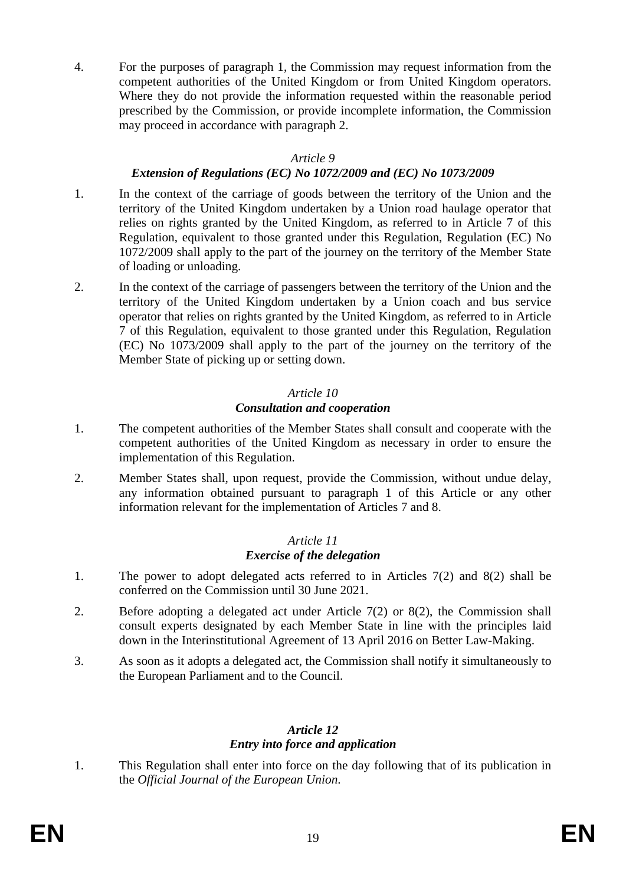4. For the purposes of paragraph 1, the Commission may request information from the competent authorities of the United Kingdom or from United Kingdom operators. Where they do not provide the information requested within the reasonable period prescribed by the Commission, or provide incomplete information, the Commission may proceed in accordance with paragraph 2.

#### *Article 9*

#### *Extension of Regulations (EC) No 1072/2009 and (EC) No 1073/2009*

- 1. In the context of the carriage of goods between the territory of the Union and the territory of the United Kingdom undertaken by a Union road haulage operator that relies on rights granted by the United Kingdom, as referred to in Article 7 of this Regulation, equivalent to those granted under this Regulation, Regulation (EC) No 1072/2009 shall apply to the part of the journey on the territory of the Member State of loading or unloading.
- 2. In the context of the carriage of passengers between the territory of the Union and the territory of the United Kingdom undertaken by a Union coach and bus service operator that relies on rights granted by the United Kingdom, as referred to in Article 7 of this Regulation, equivalent to those granted under this Regulation, Regulation (EC) No 1073/2009 shall apply to the part of the journey on the territory of the Member State of picking up or setting down.

#### *Article 10*

#### *Consultation and cooperation*

- 1. The competent authorities of the Member States shall consult and cooperate with the competent authorities of the United Kingdom as necessary in order to ensure the implementation of this Regulation.
- 2. Member States shall, upon request, provide the Commission, without undue delay, any information obtained pursuant to paragraph 1 of this Article or any other information relevant for the implementation of Articles 7 and 8.

## *Article 11 Exercise of the delegation*

- 1. The power to adopt delegated acts referred to in Articles 7(2) and 8(2) shall be conferred on the Commission until 30 June 2021.
- 2. Before adopting a delegated act under Article 7(2) or 8(2), the Commission shall consult experts designated by each Member State in line with the principles laid down in the Interinstitutional Agreement of 13 April 2016 on Better Law-Making.
- 3. As soon as it adopts a delegated act, the Commission shall notify it simultaneously to the European Parliament and to the Council.

#### *Article 12 Entry into force and application*

1. This Regulation shall enter into force on the day following that of its publication in the *Official Journal of the European Union*.